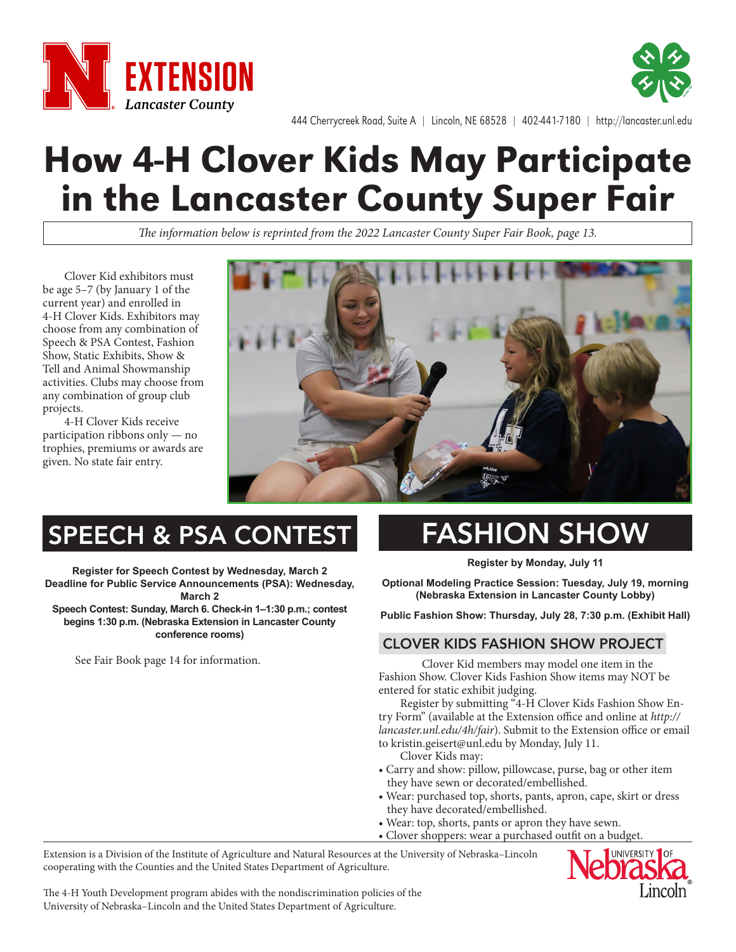



444 Cherrycreek Road, Suite A | Lincoln, NE 68528 | 402-441-7180 | http://lancaster.unl.edu

# How 4-H Clover Kids May Participate in the Lancaster County Super Fair

*The information below is reprinted from the 2022 Lancaster County Super Fair Book, page 13.*

Clover Kid exhibitors must be age 5–7 (by January 1 of the current year) and enrolled in 4-H Clover Kids. Exhibitors may choose from any combination of Speech & PSA Contest, Fashion Show, Static Exhibits, Show & Tell and Animal Showmanship activities. Clubs may choose from any combination of group club projects.

4-H Clover Kids receive participation ribbons only — no trophies, premiums or awards are given. No state fair entry.



## SPEECH & PSA CONTEST

**Register for Speech Contest by Wednesday, March 2 Deadline for Public Service Announcements (PSA): Wednesday, March 2**

**Speech Contest: Sunday, March 6. Check-in 1–1:30 p.m.; contest begins 1:30 p.m. (Nebraska Extension in Lancaster County conference rooms)**

See Fair Book page 14 for information.

# FASHION SHOW

**Register by Monday, July 11**

**Optional Modeling Practice Session: Tuesday, July 19, morning (Nebraska Extension in Lancaster County Lobby)**

**Public Fashion Show: Thursday, July 28, 7:30 p.m. (Exhibit Hall)**

#### CLOVER KIDS FASHION SHOW PROJECT:

Clover Kid members may model one item in the Fashion Show. Clover Kids Fashion Show items may NOT be entered for static exhibit judging.

Register by submitting "4-H Clover Kids Fashion Show Entry Form" (available at the Extension office and online at *http:// lancaster.unl.edu/4h/fair*). Submit to the Extension office or email to kristin.geisert@unl.edu by Monday, July 11.

Clover Kids may:

- Carry and show: pillow, pillowcase, purse, bag or other item they have sewn or decorated/embellished.
- Wear: purchased top, shorts, pants, apron, cape, skirt or dress they have decorated/embellished.
- Wear: top, shorts, pants or apron they have sewn.
- Clover shoppers: wear a purchased outfit on a budget.

Extension is a Division of the Institute of Agriculture and Natural Resources at the University of Nebraska–Lincoln cooperating with the Counties and the United States Department of Agriculture.



The 4-H Youth Development program abides with the nondiscrimination policies of the University of Nebraska–Lincoln and the United States Department of Agriculture.